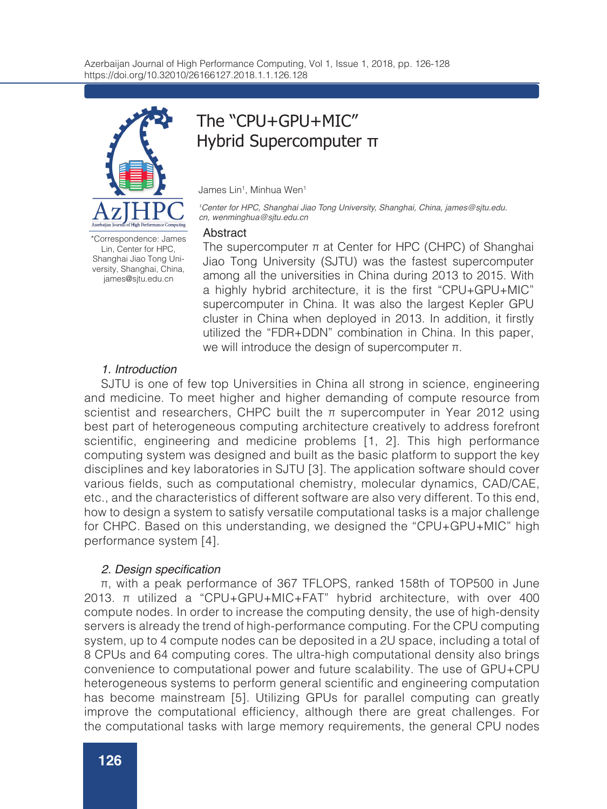

\*Correspondence: James Lin, Center for HPC, Shanghai Jiao Tong University, Shanghai, China, james@sjtu.edu.cn

# The "CPU+GPU+MIC" Hybrid Supercomputer π

James Lin1, Minhua Wen1

*1 Center for HPC, Shanghai Jiao Tong University, Shanghai, China, james@sjtu.edu. cn, wenminghua@sjtu.edu.cn*

#### Abstract

The supercomputer  $\pi$  at Center for HPC (CHPC) of Shanghai Jiao Tong University (SJTU) was the fastest supercomputer among all the universities in China during 2013 to 2015. With a highly hybrid architecture, it is the first "CPU+GPU+MIC" supercomputer in China. It was also the largest Kepler GPU cluster in China when deployed in 2013. In addition, it firstly utilized the "FDR+DDN" combination in China. In this paper, we will introduce the design of supercomputer π.

## *1. Introduction*

SJTU is one of few top Universities in China all strong in science, engineering and medicine. To meet higher and higher demanding of compute resource from scientist and researchers, CHPC built the  $\pi$  supercomputer in Year 2012 using best part of heterogeneous computing architecture creatively to address forefront scientific, engineering and medicine problems [1, 2]. This high performance computing system was designed and built as the basic platform to support the key disciplines and key laboratories in SJTU [3]. The application software should cover various fields, such as computational chemistry, molecular dynamics, CAD/CAE, etc., and the characteristics of different software are also very different. To this end, how to design a system to satisfy versatile computational tasks is a major challenge for CHPC. Based on this understanding, we designed the "CPU+GPU+MIC" high performance system [4].

## 2. Design specification

π, with a peak performance of 367 TFLOPS, ranked 158th of TOP500 in June 2013. π utilized a "CPU+GPU+MIC+FAT" hybrid architecture, with over 400 compute nodes. In order to increase the computing density, the use of high-density servers is already the trend of high-performance computing. For the CPU computing system, up to 4 compute nodes can be deposited in a 2U space, including a total of 8 CPUs and 64 computing cores. The ultra-high computational density also brings convenience to computational power and future scalability. The use of GPU+CPU heterogeneous systems to perform general scientific and engineering computation has become mainstream [5]. Utilizing GPUs for parallel computing can greatly improve the computational efficiency, although there are great challenges. For the computational tasks with large memory requirements, the general CPU nodes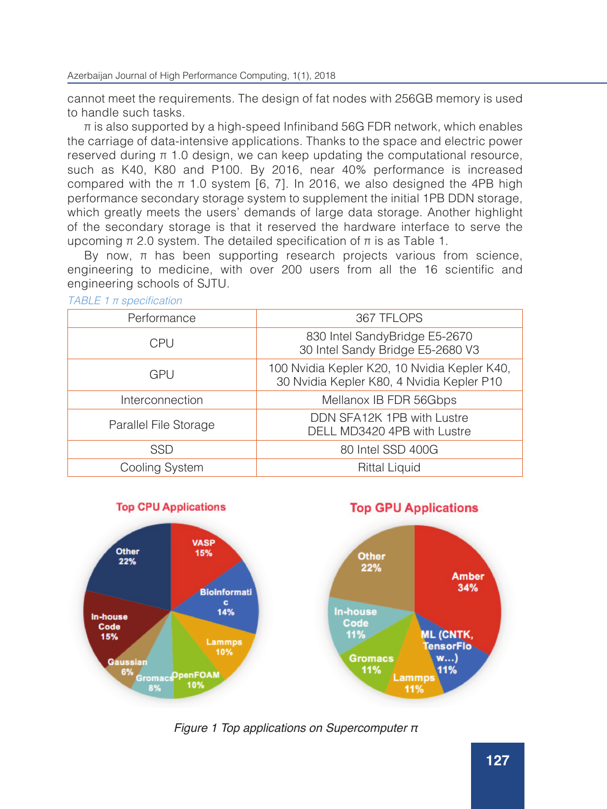cannot meet the requirements. The design of fat nodes with 256GB memory is used to handle such tasks.

 $\pi$  is also supported by a high-speed Infiniband 56G FDR network, which enables the carriage of data-intensive applications. Thanks to the space and electric power reserved during  $\pi$  1.0 design, we can keep updating the computational resource, such as K40, K80 and P100. By 2016, near 40% performance is increased compared with the π 1.0 system [6, 7]. In 2016, we also designed the 4PB high performance secondary storage system to supplement the initial 1PB DDN storage, which greatly meets the users' demands of large data storage. Another highlight of the secondary storage is that it reserved the hardware interface to serve the upcoming  $\pi$  2.0 system. The detailed specification of  $\pi$  is as Table 1.

By now,  $π$  has been supporting research projects various from science, engineering to medicine, with over 200 users from all the 16 scientific and engineering schools of SJTU.

| Performance           | 367 TFLOPS                                                                                |
|-----------------------|-------------------------------------------------------------------------------------------|
| <b>CPU</b>            | 830 Intel SandyBridge E5-2670<br>30 Intel Sandy Bridge E5-2680 V3                         |
| GPU                   | 100 Nvidia Kepler K20, 10 Nvidia Kepler K40,<br>30 Nvidia Kepler K80, 4 Nvidia Kepler P10 |
| Interconnection       | Mellanox IB FDR 56Gbps                                                                    |
| Parallel File Storage | DDN SFA12K 1PB with Lustre<br>DELL MD3420 4PB with Lustre                                 |
| SSD                   | 80 Intel SSD 400G                                                                         |
| Cooling System        | <b>Rittal Liquid</b>                                                                      |

*TABLE 1* π specification





**127**